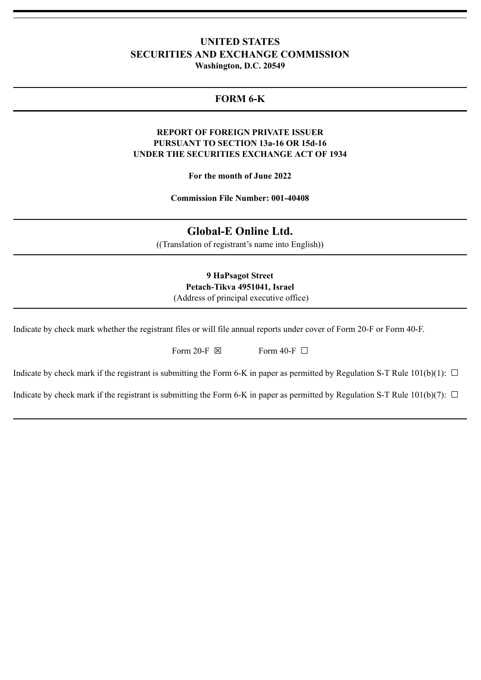## **UNITED STATES SECURITIES AND EXCHANGE COMMISSION Washington, D.C. 20549**

# **FORM 6-K**

## **REPORT OF FOREIGN PRIVATE ISSUER PURSUANT TO SECTION 13a-16 OR 15d-16 UNDER THE SECURITIES EXCHANGE ACT OF 1934**

**For the month of June 2022**

**Commission File Number: 001-40408**

**Global-E Online Ltd.**

((Translation of registrant's name into English))

**9 HaPsagot Street Petach-Tikva 4951041, Israel** (Address of principal executive office)

Indicate by check mark whether the registrant files or will file annual reports under cover of Form 20-F or Form 40-F.

Form 20-F  $\boxtimes$  Form 40-F  $\Box$ 

Indicate by check mark if the registrant is submitting the Form 6-K in paper as permitted by Regulation S-T Rule  $101(b)(1)$ :  $\Box$ 

Indicate by check mark if the registrant is submitting the Form 6-K in paper as permitted by Regulation S-T Rule 101(b)(7):  $\Box$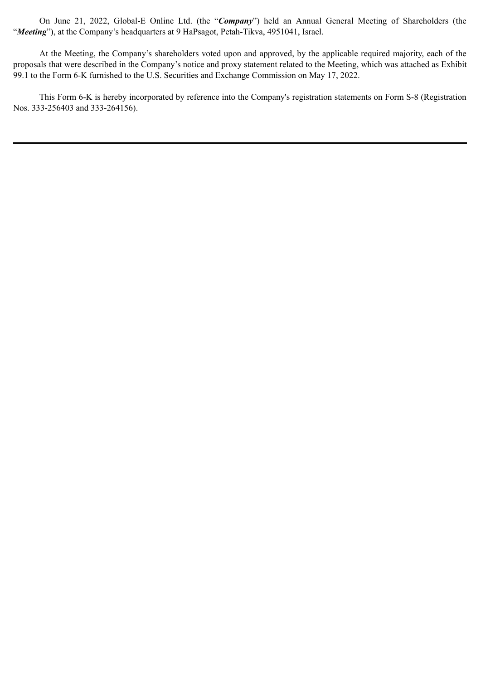On June 21, 2022, Global-E Online Ltd. (the "*Company*") held an Annual General Meeting of Shareholders (the "*Meeting*"), at the Company's headquarters at 9 HaPsagot, Petah-Tikva, 4951041, Israel.

At the Meeting, the Company's shareholders voted upon and approved, by the applicable required majority, each of the proposals that were described in the Company's notice and proxy statement related to the Meeting, which was attached as Exhibit 99.1 to the Form 6-K furnished to the U.S. Securities and Exchange Commission on May 17, 2022.

This Form 6-K is hereby incorporated by reference into the Company's registration statements on Form S-8 (Registration Nos. 333-256403 and 333-264156).